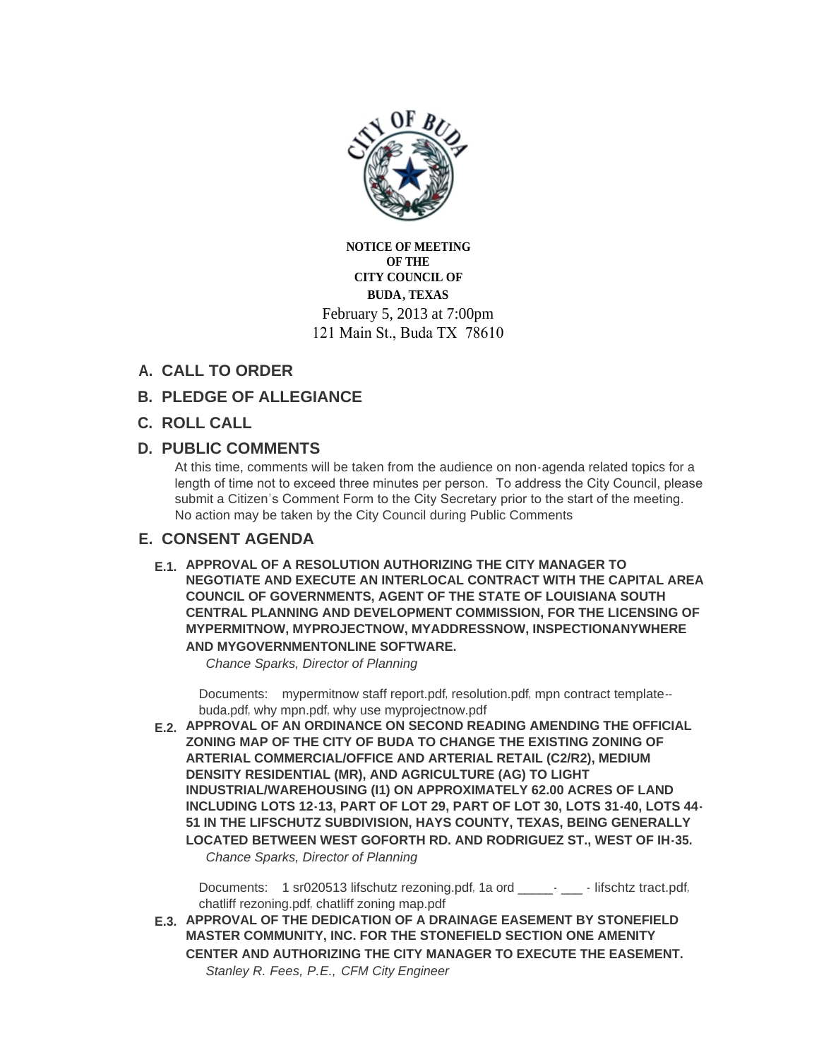

**NOTICE OF MEETING OF THE CITY COUNCIL OF BUDA, TEXAS** February 5, 2013 at 7:00pm 121 Main St., Buda TX 78610

# **CALL TO ORDER A.**

- **PLEDGE OF ALLEGIANCE B.**
- **ROLL CALL C.**

# **PUBLIC COMMENTS D.**

At this time, comments will be taken from the audience on non-agenda related topics for a length of time not to exceed three minutes per person. To address the City Council, please submit a Citizen's Comment Form to the City Secretary prior to the start of the meeting. No action may be taken by the City Council during Public Comments

# **CONSENT AGENDA E.**

**APPROVAL OF A RESOLUTION AUTHORIZING THE CITY MANAGER TO E.1. NEGOTIATE AND EXECUTE AN INTERLOCAL CONTRACT WITH THE CAPITAL AREA COUNCIL OF GOVERNMENTS, AGENT OF THE STATE OF LOUISIANA SOUTH CENTRAL PLANNING AND DEVELOPMENT COMMISSION, FOR THE LICENSING OF MYPERMITNOW, MYPROJECTNOW, MYADDRESSNOW, INSPECTIONANYWHERE AND MYGOVERNMENTONLINE SOFTWARE.**

*Chance Sparks, Director of Planning*

Documents: [mypermitnow staff report.pdf](http://ci.buda.tx.us/Files/AgendaCenter/Items/167/MyPermitNow%20Staff%20Report_201302011100473877.pdf), [resolution.pdf](http://ci.buda.tx.us/Files/AgendaCenter/Items/167/RESOLUTION_201302011100475908.pdf), [mpn contract t](http://ci.buda.tx.us/Files/AgendaCenter/Items/167/MPN%20Contract%20Template--BUDA_201302011100440908.pdf)emplate-buda.pdf, [why mpn.pdf](http://ci.buda.tx.us/Files/AgendaCenter/Items/167/Why%20MPN_201302011100480908.pdf), [why use myprojectnow.pdf](http://ci.buda.tx.us/Files/AgendaCenter/Items/167/Why%20Use%20MyProjectNow_201302011100551846.pdf)

**APPROVAL OF AN ORDINANCE ON SECOND READING AMENDING THE OFFICIAL E.2. ZONING MAP OF THE CITY OF BUDA TO CHANGE THE EXISTING ZONING OF ARTERIAL COMMERCIAL/OFFICE AND ARTERIAL RETAIL (C2/R2), MEDIUM DENSITY RESIDENTIAL (MR), AND AGRICULTURE (AG) TO LIGHT INDUSTRIAL/WAREHOUSING (I1) ON APPROXIMATELY 62.00 ACRES OF LAND INCLUDING LOTS 12-13, PART OF LOT 29, PART OF LOT 30, LOTS 31-40, LOTS 44- 51 IN THE LIFSCHUTZ SUBDIVISION, HAYS COUNTY, TEXAS, BEING GENERALLY LOCATED BETWEEN WEST GOFORTH RD. AND RODRIGUEZ ST., WEST OF IH-35.** *Chance Sparks, Director of Planning*

Documents: [1 sr020513 lifschutz rezoning.pdf](http://ci.buda.tx.us/Files/AgendaCenter/Items/163/1%20SR020513%20Lifschutz%20rezoning_201301300826387502.pdf), 1a ord \_\_\_\_\_\_- \_\_\_\_ - lifschtz tract.pdf, [chatliff rezoning.pdf](http://ci.buda.tx.us/Files/AgendaCenter/Items/163/Chatliff%20Rezoning_201301300826405783.pdf), [chatliff zoning map.pdf](http://ci.buda.tx.us/Files/AgendaCenter/Items/163/Chatliff%20Zoning%20Map_201301300826481721.pdf)

**APPROVAL OF THE DEDICATION OF A DRAINAGE EASEMENT BY STONEFIELD E.3. MASTER COMMUNITY, INC. FOR THE STONEFIELD SECTION ONE AMENITY CENTER AND AUTHORIZING THE CITY MANAGER TO EXECUTE THE EASEMENT.** *Stanley R. Fees, P.E., CFM City Engineer*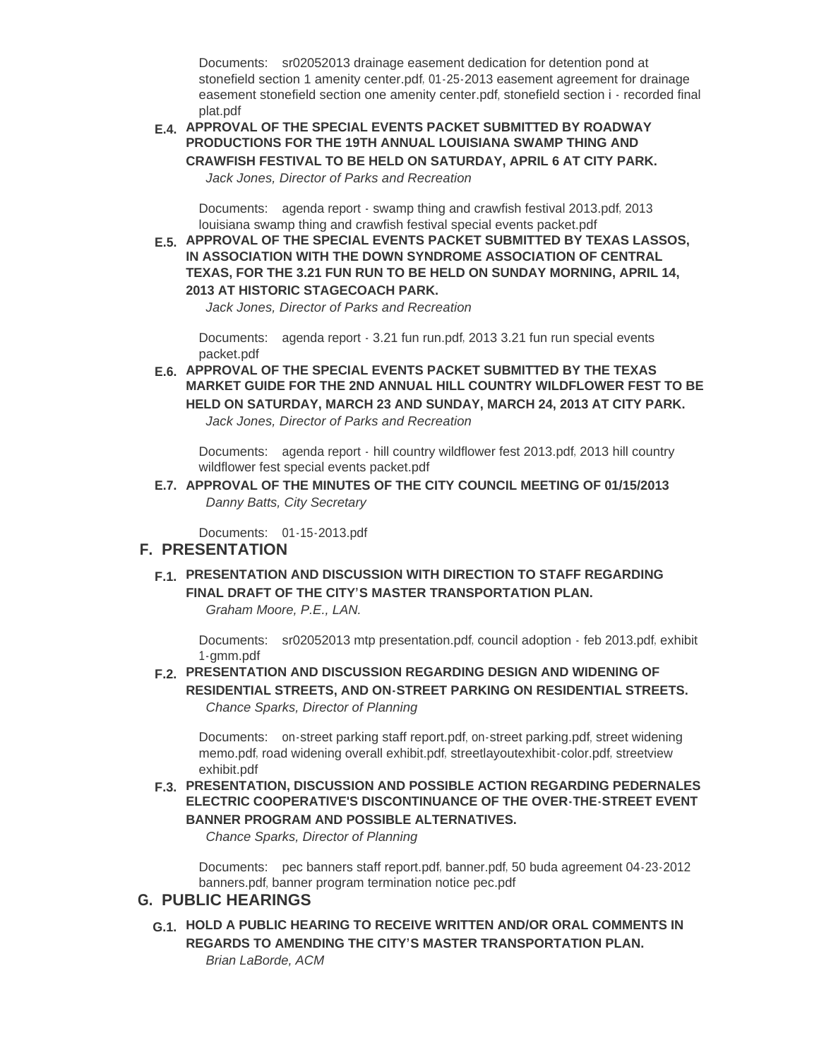Documents: sr02052013 drainage easement dedication for detention pond at stonefield section 1 amenity center.pdf, [01-25-2013 easement agreement for drainage](http://ci.buda.tx.us/Files/AgendaCenter/Items/153/01-25-2013%20Easement%20Agreement%20for%20Drainage%20Easement%20Stonefield%20Section%20One%20Amenity%20Center_201301291410031484.PDF)  easement stonefield section one amenity center.pdf, [stonefield section i - recorded final](http://ci.buda.tx.us/Files/AgendaCenter/Items/153/Stonefield%20Section%20I%20-%20Recorded%20Final%20Plat_201301291150372596.pdf)  plat.pdf

**APPROVAL OF THE SPECIAL EVENTS PACKET SUBMITTED BY ROADWAY E.4. PRODUCTIONS FOR THE 19TH ANNUAL LOUISIANA SWAMP THING AND CRAWFISH FESTIVAL TO BE HELD ON SATURDAY, APRIL 6 AT CITY PARK.** *Jack Jones, Director of Parks and Recreation*

Documents: [agenda report - swamp thing and crawfish festival 2013.pdf](http://ci.buda.tx.us/Files/AgendaCenter/Items/159/Agenda%20Report%20-%20Swamp%20Thing%20and%20Crawfish%20Festival%202013_201301310932372298.pdf), 2013 louisiana swamp thing and crawfish festival special events packet.pdf

**APPROVAL OF THE SPECIAL EVENTS PACKET SUBMITTED BY TEXAS LASSOS, E.5. IN ASSOCIATION WITH THE DOWN SYNDROME ASSOCIATION OF CENTRAL TEXAS, FOR THE 3.21 FUN RUN TO BE HELD ON SUNDAY MORNING, APRIL 14, 2013 AT HISTORIC STAGECOACH PARK.**

*Jack Jones, Director of Parks and Recreation*

Documents: [agenda report - 3.21 fun run.pdf](http://ci.buda.tx.us/Files/AgendaCenter/Items/160/Agenda%20Report%20-%203.21%20Fun%20Run_201301301833442602.pdf), 2013 3.21 fun run special events packet.pdf

**APPROVAL OF THE SPECIAL EVENTS PACKET SUBMITTED BY THE TEXAS E.6. MARKET GUIDE FOR THE 2ND ANNUAL HILL COUNTRY WILDFLOWER FEST TO BE HELD ON SATURDAY, MARCH 23 AND SUNDAY, MARCH 24, 2013 AT CITY PARK.** *Jack Jones, Director of Parks and Recreation*

Documents: agenda report - [hill country wildflower fest 2013.pdf](http://ci.buda.tx.us/Files/AgendaCenter/Items/158/Agenda%20Report%20-%20Hill%20Country%20Wildflower%20Fest%202013_201301301802415139.pdf), 2013 hill country wildflower fest special events packet.pdf

**APPROVAL OF THE MINUTES OF THE CITY COUNCIL MEETING OF 01/15/2013 E.7.** *Danny Batts, City Secretary*

[01-15-2013.pdf](http://ci.buda.tx.us/Files/AgendaCenter/Items/168/01-15-2013_201301311518099206.pdf) Documents:

#### **PRESENTATION F.**

**PRESENTATION AND DISCUSSION WITH DIRECTION TO STAFF REGARDING F.1. FINAL DRAFT OF THE CITY'S MASTER TRANSPORTATION PLAN.** *Graham Moore, P.E., LAN.*

Documents: [sr02052013 mtp presentation.pdf](http://ci.buda.tx.us/Files/AgendaCenter/Items/125/SR02052013%20MTP%20presentation_201301291715042194.pdf), [council adoption -](http://ci.buda.tx.us/Files/AgendaCenter/Items/125/Council%20Adoption%20-%20Feb%202013_201301291715053288.pdf) feb 2013.pdf, exhibit 1-gmm.pdf

**PRESENTATION AND DISCUSSION REGARDING DESIGN AND WIDENING OF F.2. RESIDENTIAL STREETS, AND ON-STREET PARKING ON RESIDENTIAL STREETS.** *Chance Sparks, Director of Planning*

Documents: [on-street parking staff report.pdf](http://ci.buda.tx.us/Files/AgendaCenter/Items/165/On-Street%20Parking%20Staff%20Report_201302011022320136.pdf), [on-street parking.pdf](http://ci.buda.tx.us/Files/AgendaCenter/Items/165/on-street%20parking_201302011022327792.pdf), street widening memo.pdf, [road widening overall exhibit.pdf](http://ci.buda.tx.us/Files/AgendaCenter/Items/165/Road%20Widening%20Overall%20Exhibit_201302011022500762.pdf), [streetlayoutexhibit-color.pdf](http://ci.buda.tx.us/Files/AgendaCenter/Items/165/StreetLayoutExhibit-color_201302011022572013.pdf), [streetview](http://ci.buda.tx.us/Files/AgendaCenter/Items/165/StreetView%20Exhibit_201302011023058732.pdf)  exhibit.pdf

**PRESENTATION, DISCUSSION AND POSSIBLE ACTION REGARDING PEDERNALES F.3. ELECTRIC COOPERATIVE'S DISCONTINUANCE OF THE OVER-THE-STREET EVENT BANNER PROGRAM AND POSSIBLE ALTERNATIVES.**

*Chance Sparks, Director of Planning*

Documents: [pec banners staff report.pdf](http://ci.buda.tx.us/Files/AgendaCenter/Items/166/PEC%20Banners%20Staff%20Report_201301300829391888.pdf), [banner.pdf](http://ci.buda.tx.us/Files/AgendaCenter/Items/166/Banner_201301300829320638.pdf), 50 buda agreement 04-23-2012 banners.pdf, [banner program termination notice pec.pdf](http://ci.buda.tx.us/Files/AgendaCenter/Items/166/Banner%20Program%20Termination%20Notice%20PEC_201301300829278763.pdf)

### **PUBLIC HEARINGS G.**

**HOLD A PUBLIC HEARING TO RECEIVE WRITTEN AND/OR ORAL COMMENTS IN G.1. REGARDS TO AMENDING THE CITY'S MASTER TRANSPORTATION PLAN.** *Brian LaBorde, ACM*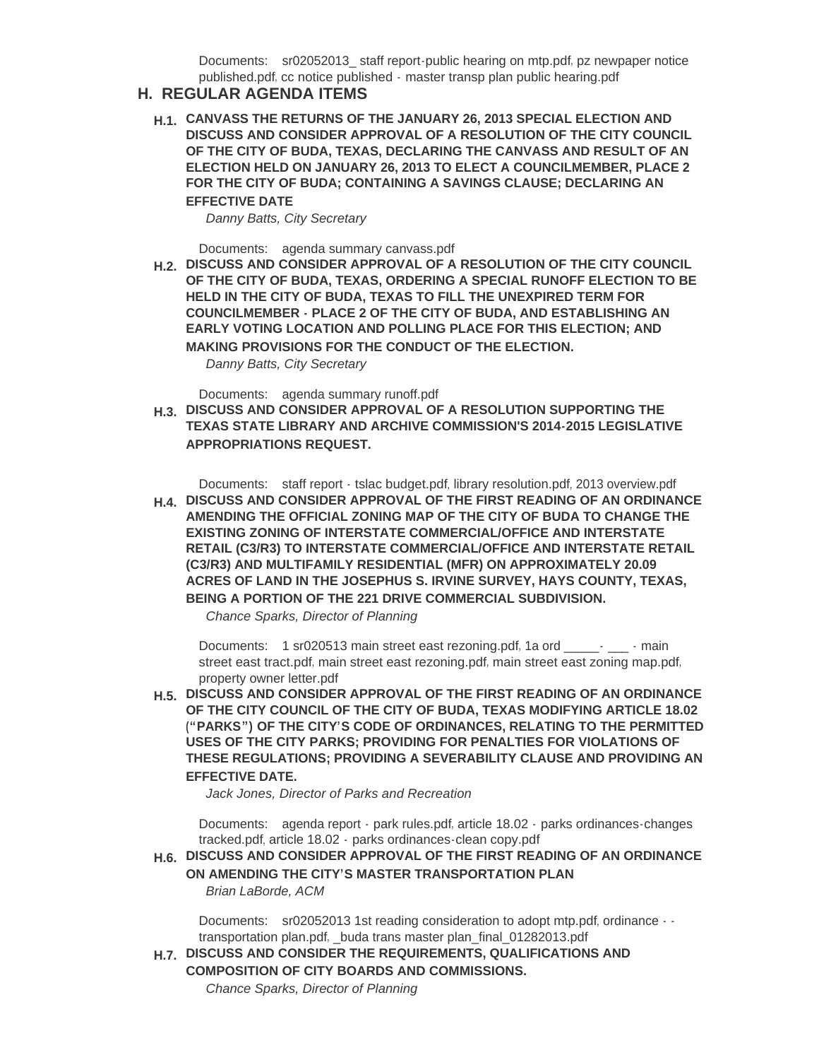Documents: sr02052013\_staff report-public hearing on mtp.pdf, pz newpaper notice published.pdf, cc notice published - [master transp plan public hearing.pdf](http://ci.buda.tx.us/Files/AgendaCenter/Items/150/CC%20Notice%20Published%20-%20Master%20Transp%20Plan%20Public%20Hearing_201301230948586984.pdf)

#### **REGULAR AGENDA ITEMS H.**

**CANVASS THE RETURNS OF THE JANUARY 26, 2013 SPECIAL ELECTION AND H.1. DISCUSS AND CONSIDER APPROVAL OF A RESOLUTION OF THE CITY COUNCIL OF THE CITY OF BUDA, TEXAS, DECLARING THE CANVASS AND RESULT OF AN ELECTION HELD ON JANUARY 26, 2013 TO ELECT A COUNCILMEMBER, PLACE 2 FOR THE CITY OF BUDA; CONTAINING A SAVINGS CLAUSE; DECLARING AN EFFECTIVE DATE**

*Danny Batts, City Secretary*

Documents: [agenda summary canvass.pdf](http://ci.buda.tx.us/Files/AgendaCenter/Items/169/Agenda%20Summary%20Canvass_201302010952339552.pdf)

**DISCUSS AND CONSIDER APPROVAL OF A RESOLUTION OF THE CITY COUNCIL H.2. OF THE CITY OF BUDA, TEXAS, ORDERING A SPECIAL RUNOFF ELECTION TO BE HELD IN THE CITY OF BUDA, TEXAS TO FILL THE UNEXPIRED TERM FOR COUNCILMEMBER - PLACE 2 OF THE CITY OF BUDA, AND ESTABLISHING AN EARLY VOTING LOCATION AND POLLING PLACE FOR THIS ELECTION; AND MAKING PROVISIONS FOR THE CONDUCT OF THE ELECTION.**

*Danny Batts, City Secretary*

Documents: [agenda summary runoff.pdf](http://ci.buda.tx.us/Files/AgendaCenter/Items/170/Agenda%20Summary%20Runoff_201302010952592835.pdf)

**DISCUSS AND CONSIDER APPROVAL OF A RESOLUTION SUPPORTING THE H.3. TEXAS STATE LIBRARY AND ARCHIVE COMMISSION'S 2014-2015 LEGISLATIVE APPROPRIATIONS REQUEST.**

Documents: [staff report - tslac budget.pdf](http://ci.buda.tx.us/Files/AgendaCenter/Items/155/Staff%20report%20-%20TSLAC%20budget_201301301053412285.pdf), [library resolution.pdf](http://ci.buda.tx.us/Files/AgendaCenter/Items/155/Library%20resolution_201301291640565188.pdf), [2013 overview.pdf](http://ci.buda.tx.us/Files/AgendaCenter/Items/155/2013%20Overview_201301291640478157.pdf)

**DISCUSS AND CONSIDER APPROVAL OF THE FIRST READING OF AN ORDINANCE H.4. AMENDING THE OFFICIAL ZONING MAP OF THE CITY OF BUDA TO CHANGE THE EXISTING ZONING OF INTERSTATE COMMERCIAL/OFFICE AND INTERSTATE RETAIL (C3/R3) TO INTERSTATE COMMERCIAL/OFFICE AND INTERSTATE RETAIL (C3/R3) AND MULTIFAMILY RESIDENTIAL (MFR) ON APPROXIMATELY 20.09 ACRES OF LAND IN THE JOSEPHUS S. IRVINE SURVEY, HAYS COUNTY, TEXAS, BEING A PORTION OF THE 221 DRIVE COMMERCIAL SUBDIVISION.**

*Chance Sparks, Director of Planning*

Documents: [1 sr020513 main street east rezoning.pdf](http://ci.buda.tx.us/Files/AgendaCenter/Items/164/1%20SR020513%20Main%20Street%20East%20rezoning_201301301610594441.pdf), 1a ord \_\_\_\_\_\_- \_\_\_\_ - main street east tract.pdf, [main street east rezoning.pdf](http://ci.buda.tx.us/Files/AgendaCenter/Items/164/Main%20Street%20East%20Rezoning_201301300828195946.pdf), [main street east zoning map.pdf](http://ci.buda.tx.us/Files/AgendaCenter/Items/164/Main%20Street%20East%20Zoning%20Map_201301300828257665.pdf), [property owner letter.pdf](http://ci.buda.tx.us/Files/AgendaCenter/Items/164/Property%20owner%20letter_201301300828331103.pdf)

**DISCUSS AND CONSIDER APPROVAL OF THE FIRST READING OF AN ORDINANCE H.5. OF THE CITY COUNCIL OF THE CITY OF BUDA, TEXAS MODIFYING ARTICLE 18.02 ("PARKS") OF THE CITY'S CODE OF ORDINANCES, RELATING TO THE PERMITTED USES OF THE CITY PARKS; PROVIDING FOR PENALTIES FOR VIOLATIONS OF THESE REGULATIONS; PROVIDING A SEVERABILITY CLAUSE AND PROVIDING AN EFFECTIVE DATE.**

*Jack Jones, Director of Parks and Recreation*

Documents: [agenda report -](http://ci.buda.tx.us/Files/AgendaCenter/Items/156/Agenda%20Report%20-%20Park%20Rules_201301301639383301.pdf) park rules.pdf, article 18.02 - parks ordinances-changes tracked.pdf, article 18.02 - [parks ordinances-clean copy.pdf](http://ci.buda.tx.us/Files/AgendaCenter/Items/156/ARTICLE%2018.02%20-%20Parks%20Ordinances-Clean%20Copy_201301301653526324.pdf)

**DISCUSS AND CONSIDER APPROVAL OF THE FIRST READING OF AN ORDINANCE H.6. ON AMENDING THE CITY'S MASTER TRANSPORTATION PLAN** *Brian LaBorde, ACM*

Documents: [sr02052013 1st reading consideration to adopt mtp.pdf](http://ci.buda.tx.us/Files/AgendaCenter/Items/151/SR02052013%201st%20reading%20consideration%20to%20Adopt%20MTP_201301241137087798.pdf), ordinance  $\cdots$ transportation plan.pdf, [\\_buda trans master plan\\_final\\_01282013.pdf](http://ci.buda.tx.us/Files/AgendaCenter/Items/151/_Buda%20Trans%20Master%20Plan_FINAL_01282013_201301291404237244.pdf)

**DISCUSS AND CONSIDER THE REQUIREMENTS, QUALIFICATIONS AND H.7. COMPOSITION OF CITY BOARDS AND COMMISSIONS.**

*Chance Sparks, Director of Planning*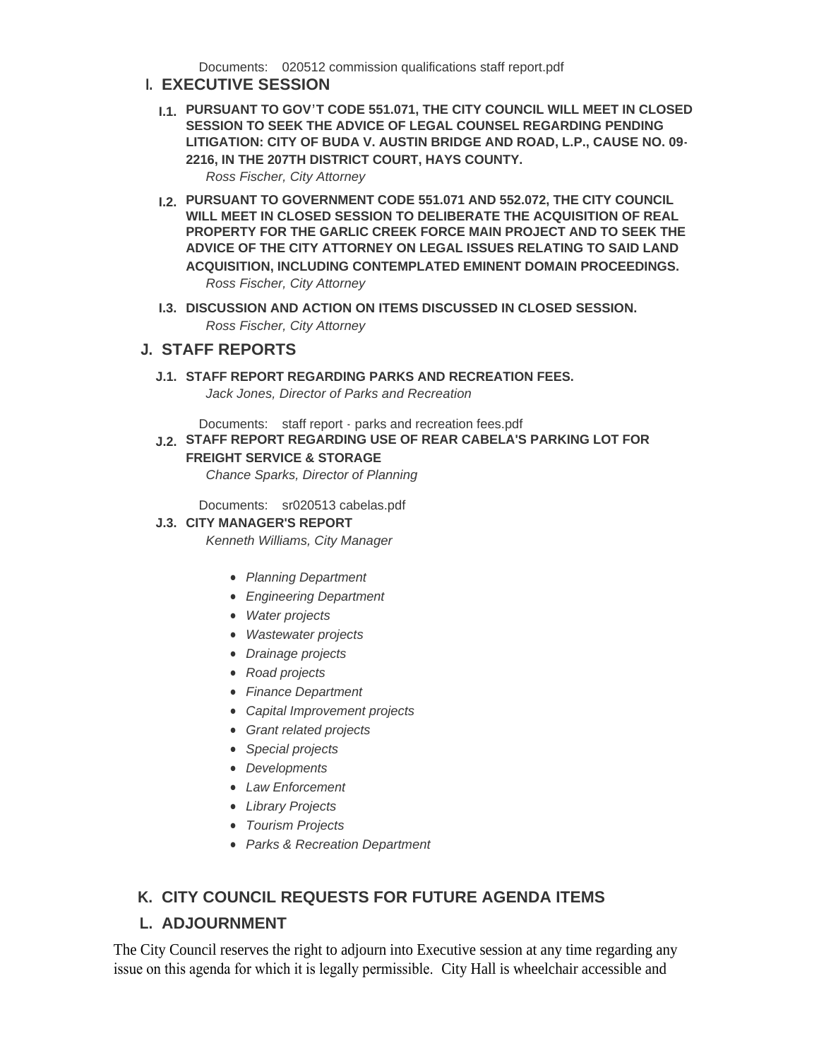Documents: [020512 commission qualifications staff report.pdf](http://ci.buda.tx.us/Files/AgendaCenter/Items/162/020512%20Commission%20qualifications%20Staff%20Report_201301301521072843.pdf)

### **EXECUTIVE SESSION I.**

- **PURSUANT TO GOV'T CODE 551.071, THE CITY COUNCIL WILL MEET IN CLOSED I.1. SESSION TO SEEK THE ADVICE OF LEGAL COUNSEL REGARDING PENDING LITIGATION: CITY OF BUDA V. AUSTIN BRIDGE AND ROAD, L.P., CAUSE NO. 09- 2216, IN THE 207TH DISTRICT COURT, HAYS COUNTY.** *Ross Fischer, City Attorney*
- **PURSUANT TO GOVERNMENT CODE 551.071 AND 552.072, THE CITY COUNCIL I.2. WILL MEET IN CLOSED SESSION TO DELIBERATE THE ACQUISITION OF REAL PROPERTY FOR THE GARLIC CREEK FORCE MAIN PROJECT AND TO SEEK THE ADVICE OF THE CITY ATTORNEY ON LEGAL ISSUES RELATING TO SAID LAND ACQUISITION, INCLUDING CONTEMPLATED EMINENT DOMAIN PROCEEDINGS.** *Ross Fischer, City Attorney*
- **I.3. DISCUSSION AND ACTION ON ITEMS DISCUSSED IN CLOSED SESSION.** *Ross Fischer, City Attorney*

# **STAFF REPORTS J.**

**STAFF REPORT REGARDING PARKS AND RECREATION FEES. J.1.**

*Jack Jones, Director of Parks and Recreation*

Documents: [staff report - parks and recreation fees.pdf](http://ci.buda.tx.us/Files/AgendaCenter/Items/157/Staff%20Report%20-%20Parks%20and%20Recreation%20Fees_201301301418543229.pdf)

**STAFF REPORT REGARDING USE OF REAR CABELA'S PARKING LOT FOR J.2. FREIGHT SERVICE & STORAGE** *Chance Sparks, Director of Planning*

Documents: [sr020513 cabelas.pdf](http://ci.buda.tx.us/Files/AgendaCenter/Items/161/SR020513%20Cabelas_201302011127113822.pdf)

#### **CITY MANAGER'S REPORT J.3.**

*Kenneth Williams, City Manager*

- *Planning Department*
- *Engineering Department*
- *Water projects*
- *Wastewater projects*
- *Drainage projects*
- *Road projects*
- *Finance Department*
- *Capital Improvement projects*
- *Grant related projects*
- *Special projects*
- *Developments*
- *Law Enforcement*
- *Library Projects*
- *Tourism Projects*
- *Parks & Recreation Department*

# **CITY COUNCIL REQUESTS FOR FUTURE AGENDA ITEMS K.**

# **ADJOURNMENT L.**

The City Council reserves the right to adjourn into Executive session at any time regarding any issue on this agenda for which it is legally permissible. City Hall is wheelchair accessible and